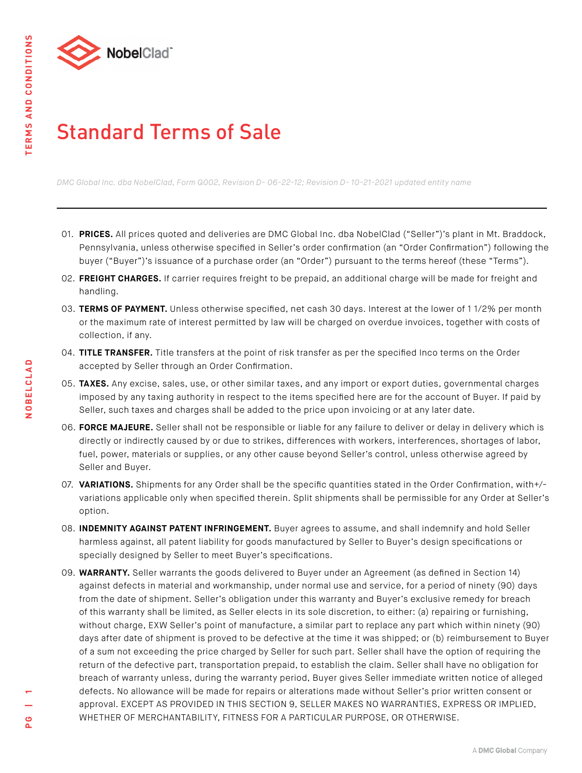

## Standard Terms of Sale

*DMC Global Inc. dba NobelClad, Form Q002, Revision D- 06-22-12; Revision D- 10-21-2021 updated entity name*

- 01. **PRICES.** All prices quoted and deliveries are DMC Global Inc. dba NobelClad ("Seller")'s plant in Mt. Braddock, Pennsylvania, unless otherwise specified in Seller's order confirmation (an "Order Confirmation") following the buyer ("Buyer")'s issuance of a purchase order (an "Order") pursuant to the terms hereof (these "Terms").
- 02. **FREIGHT CHARGES.** If carrier requires freight to be prepaid, an additional charge will be made for freight and handling.
- 03. **TERMS OF PAYMENT.** Unless otherwise specified, net cash 30 days. Interest at the lower of 1 1/2% per month or the maximum rate of interest permitted by law will be charged on overdue invoices, together with costs of collection, if any.
- 04. **TITLE TRANSFER.** Title transfers at the point of risk transfer as per the specified Inco terms on the Order accepted by Seller through an Order Confirmation.
- 05. **TAXES.** Any excise, sales, use, or other similar taxes, and any import or export duties, governmental charges imposed by any taxing authority in respect to the items specified here are for the account of Buyer. If paid by Seller, such taxes and charges shall be added to the price upon invoicing or at any later date.
- 06. **FORCE MAJEURE.** Seller shall not be responsible or liable for any failure to deliver or delay in delivery which is directly or indirectly caused by or due to strikes, differences with workers, interferences, shortages of labor, fuel, power, materials or supplies, or any other cause beyond Seller's control, unless otherwise agreed by Seller and Buyer.
- 07. **VARIATIONS.** Shipments for any Order shall be the specific quantities stated in the Order Confirmation, with+/ variations applicable only when specified therein. Split shipments shall be permissible for any Order at Seller's option.
- 08. **INDEMNITY AGAINST PATENT INFRINGEMENT.** Buyer agrees to assume, and shall indemnify and hold Seller harmless against, all patent liability for goods manufactured by Seller to Buyer's design specifications or specially designed by Seller to meet Buyer's specifications.
- 09. **WARRANTY.** Seller warrants the goods delivered to Buyer under an Agreement (as defined in Section 14) against defects in material and workmanship, under normal use and service, for a period of ninety (90) days from the date of shipment. Seller's obligation under this warranty and Buyer's exclusive remedy for breach of this warranty shall be limited, as Seller elects in its sole discretion, to either: (a) repairing or furnishing, without charge, EXW Seller's point of manufacture, a similar part to replace any part which within ninety (90) days after date of shipment is proved to be defective at the time it was shipped; or (b) reimbursement to Buyer of a sum not exceeding the price charged by Seller for such part. Seller shall have the option of requiring the return of the defective part, transportation prepaid, to establish the claim. Seller shall have no obligation for breach of warranty unless, during the warranty period, Buyer gives Seller immediate written notice of alleged defects. No allowance will be made for repairs or alterations made without Seller's prior written consent or approval. EXCEPT AS PROVIDED IN THIS SECTION 9, SELLER MAKES NO WARRANTIES, EXPRESS OR IMPLIED, WHETHER OF MERCHANTABILITY, FITNESS FOR A PARTICULAR PURPOSE, OR OTHERWISE.

**NOBELCLAD**

NOBELCLAD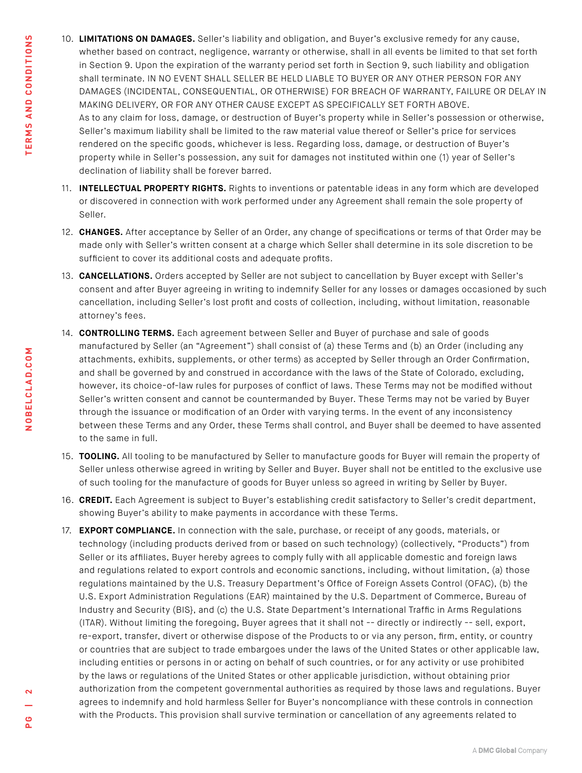- 10. **LIMITATIONS ON DAMAGES.** Seller's liability and obligation, and Buyer's exclusive remedy for any cause, whether based on contract, negligence, warranty or otherwise, shall in all events be limited to that set forth in Section 9. Upon the expiration of the warranty period set forth in Section 9, such liability and obligation shall terminate. IN NO EVENT SHALL SELLER BE HELD LIABLE TO BUYER OR ANY OTHER PERSON FOR ANY DAMAGES (INCIDENTAL, CONSEQUENTIAL, OR OTHERWISE) FOR BREACH OF WARRANTY, FAILURE OR DELAY IN MAKING DELIVERY, OR FOR ANY OTHER CAUSE EXCEPT AS SPECIFICALLY SET FORTH ABOVE. As to any claim for loss, damage, or destruction of Buyer's property while in Seller's possession or otherwise, Seller's maximum liability shall be limited to the raw material value thereof or Seller's price for services rendered on the specific goods, whichever is less. Regarding loss, damage, or destruction of Buyer's property while in Seller's possession, any suit for damages not instituted within one (1) year of Seller's declination of liability shall be forever barred.
- 11. **INTELLECTUAL PROPERTY RIGHTS.** Rights to inventions or patentable ideas in any form which are developed or discovered in connection with work performed under any Agreement shall remain the sole property of Seller.
- 12. **CHANGES.** After acceptance by Seller of an Order, any change of specifications or terms of that Order may be made only with Seller's written consent at a charge which Seller shall determine in its sole discretion to be sufficient to cover its additional costs and adequate profits.
- 13. **CANCELLATIONS.** Orders accepted by Seller are not subject to cancellation by Buyer except with Seller's consent and after Buyer agreeing in writing to indemnify Seller for any losses or damages occasioned by such cancellation, including Seller's lost profit and costs of collection, including, without limitation, reasonable attorney's fees.
- 14. **CONTROLLING TERMS.** Each agreement between Seller and Buyer of purchase and sale of goods manufactured by Seller (an "Agreement") shall consist of (a) these Terms and (b) an Order (including any attachments, exhibits, supplements, or other terms) as accepted by Seller through an Order Confirmation, and shall be governed by and construed in accordance with the laws of the State of Colorado, excluding, however, its choice-of-law rules for purposes of conflict of laws. These Terms may not be modified without Seller's written consent and cannot be countermanded by Buyer. These Terms may not be varied by Buyer through the issuance or modification of an Order with varying terms. In the event of any inconsistency between these Terms and any Order, these Terms shall control, and Buyer shall be deemed to have assented to the same in full.
- 15. **TOOLING.** All tooling to be manufactured by Seller to manufacture goods for Buyer will remain the property of Seller unless otherwise agreed in writing by Seller and Buyer. Buyer shall not be entitled to the exclusive use of such tooling for the manufacture of goods for Buyer unless so agreed in writing by Seller by Buyer.
- 16. **CREDIT.** Each Agreement is subject to Buyer's establishing credit satisfactory to Seller's credit department, showing Buyer's ability to make payments in accordance with these Terms.
- 17. **EXPORT COMPLIANCE.** In connection with the sale, purchase, or receipt of any goods, materials, or technology (including products derived from or based on such technology) (collectively, "Products") from Seller or its affiliates, Buyer hereby agrees to comply fully with all applicable domestic and foreign laws and regulations related to export controls and economic sanctions, including, without limitation, (a) those regulations maintained by the U.S. Treasury Department's Office of Foreign Assets Control (OFAC), (b) the U.S. Export Administration Regulations (EAR) maintained by the U.S. Department of Commerce, Bureau of Industry and Security (BIS}, and (c) the U.S. State Department's International Traffic in Arms Regulations (ITAR). Without limiting the foregoing, Buyer agrees that it shall not -- directly or indirectly -- sell, export, re-export, transfer, divert or otherwise dispose of the Products to or via any person, firm, entity, or country or countries that are subject to trade embargoes under the laws of the United States or other applicable law, including entities or persons in or acting on behalf of such countries, or for any activity or use prohibited by the laws or regulations of the United States or other applicable jurisdiction, without obtaining prior authorization from the competent governmental authorities as required by those laws and regulations. Buyer agrees to indemnify and hold harmless Seller for Buyer's noncompliance with these controls in connection with the Products. This provision shall survive termination or cancellation of any agreements related to